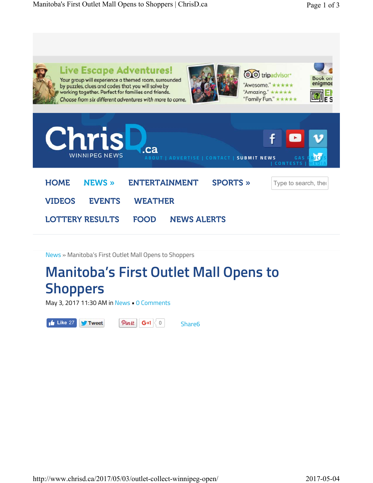

News » Manitoba's First Outlet Mall Opens to Shoppers

## **Manitoba's First Outlet Mall Opens to Shoppers**

May 3, 2017 11:30 AM in News • 0 Comments

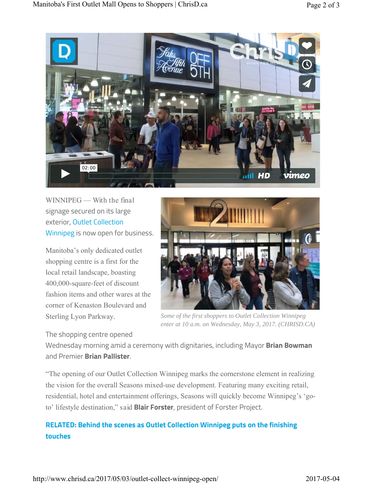

WINNIPEG — With the final signage secured on its large exterior, Outlet Collection Winnipeg is now open for business.

Manitoba's only dedicated outlet shopping centre is a first for the local retail landscape, boasting 400,000-square-feet of discount fashion items and other wares at the corner of Kenaston Boulevard and Sterling Lyon Parkway.

The shopping centre opened



*Some of the first shoppers to Outlet Collection Winnipeg enter at 10 a.m. on Wednesday, May 3, 2017. (CHRISD.CA)*

Wednesday morning amid a ceremony with dignitaries, including Mayor **Brian Bowman** and Premier **Brian Pallister**.

"The opening of our Outlet Collection Winnipeg marks the cornerstone element in realizing the vision for the overall Seasons mixed-use development. Featuring many exciting retail, residential, hotel and entertainment offerings, Seasons will quickly become Winnipeg's 'goto' lifestyle destination," said **Blair Forster**, president of Forster Project.

## **RELATED: Behind the scenes as Outlet Collection Winnipeg puts on the finishing touches**

http://www.chrisd.ca/2017/05/03/outlet-collect-winnipeg-open/ 2017-05-04